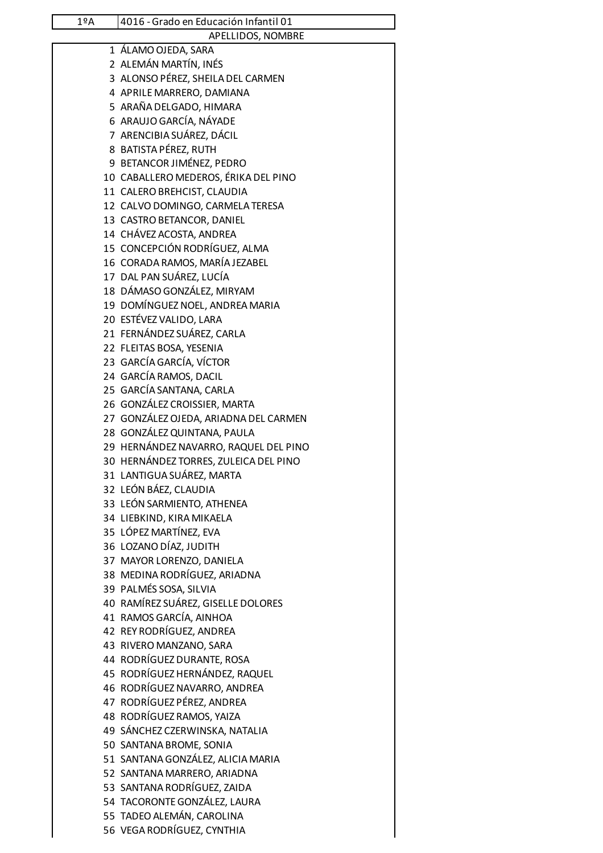| $1^{\circ}$ A | 4016 - Grado en Educación Infantil 01               |
|---------------|-----------------------------------------------------|
|               | APELLIDOS, NOMBRE                                   |
|               | 1 ÁLAMO OJEDA, SARA                                 |
|               | 2 ALEMÁN MARTÍN, INÉS                               |
|               | 3 ALONSO PÉREZ, SHEILA DEL CARMEN                   |
|               | 4 APRILE MARRERO, DAMIANA                           |
|               | 5 ARAÑA DELGADO, HIMARA                             |
|               | 6 ARAUJO GARCÍA, NÁYADE                             |
|               | 7 ARENCIBIA SUÁREZ, DÁCIL                           |
|               | 8 BATISTA PÉREZ, RUTH                               |
|               | 9 BETANCOR JIMÉNEZ, PEDRO                           |
|               | 10 CABALLERO MEDEROS, ÉRIKA DEL PINO                |
|               | 11 CALERO BREHCIST, CLAUDIA                         |
|               | 12 CALVO DOMINGO, CARMELA TERESA                    |
|               | 13 CASTRO BETANCOR, DANIEL                          |
|               | 14 CHÁVEZ ACOSTA, ANDREA                            |
|               | 15 CONCEPCIÓN RODRÍGUEZ, ALMA                       |
|               | 16 CORADA RAMOS, MARÍA JEZABEL                      |
|               | 17 DAL PAN SUÁREZ, LUCÍA                            |
|               | 18 DÁMASO GONZÁLEZ, MIRYAM                          |
|               | 19 DOMÍNGUEZ NOEL, ANDREA MARIA                     |
|               | 20 ESTÉVEZ VALIDO, LARA                             |
|               | 21 FERNÁNDEZ SUÁREZ, CARLA                          |
|               | 22 FLEITAS BOSA, YESENIA                            |
|               | 23 GARCÍA GARCÍA, VÍCTOR                            |
|               | 24 GARCÍA RAMOS, DACIL                              |
|               | 25 GARCÍA SANTANA, CARLA                            |
|               | 26 GONZÁLEZ CROISSIER, MARTA                        |
|               | 27 GONZÁLEZ OJEDA, ARIADNA DEL CARMEN               |
|               | 28 GONZÁLEZ QUINTANA, PAULA                         |
|               | 29 HERNÁNDEZ NAVARRO, RAQUEL DEL PINO               |
|               | 30 HERNÁNDEZ TORRES, ZULEICA DEL PINO               |
|               | 31 LANTIGUA SUÁREZ, MARTA                           |
|               | 32 LEÓN BÁEZ, CLAUDIA<br>33 LEÓN SARMIENTO, ATHENEA |
|               | 34 LIEBKIND, KIRA MIKAELA                           |
|               | 35 LÓPEZ MARTÍNEZ, EVA                              |
|               | 36 LOZANO DÍAZ, JUDITH                              |
|               | 37 MAYOR LORENZO, DANIELA                           |
|               | 38 MEDINA RODRÍGUEZ, ARIADNA                        |
|               | 39 PALMÉS SOSA, SILVIA                              |
|               | 40 RAMÍREZ SUÁREZ, GISELLE DOLORES                  |
|               | 41 RAMOS GARCÍA, AINHOA                             |
|               | 42 REY RODRÍGUEZ, ANDREA                            |
|               | 43 RIVERO MANZANO, SARA                             |
|               | 44 RODRÍGUEZ DURANTE, ROSA                          |
|               | 45 RODRÍGUEZ HERNÁNDEZ, RAQUEL                      |
|               | 46 RODRÍGUEZ NAVARRO, ANDREA                        |
|               | 47 RODRÍGUEZ PÉREZ, ANDREA                          |
|               | 48 RODRÍGUEZ RAMOS, YAIZA                           |
|               | 49 SÁNCHEZ CZERWINSKA, NATALIA                      |
|               | 50 SANTANA BROME, SONIA                             |
|               | 51 SANTANA GONZÁLEZ, ALICIA MARIA                   |
|               | 52 SANTANA MARRERO, ARIADNA                         |
|               | 53 SANTANA RODRÍGUEZ, ZAIDA                         |
|               | 54 TACORONTE GONZÁLEZ, LAURA                        |
|               | 55 TADEO ALEMÁN, CAROLINA                           |
|               | 56 VEGA RODRÍGUEZ, CYNTHIA                          |